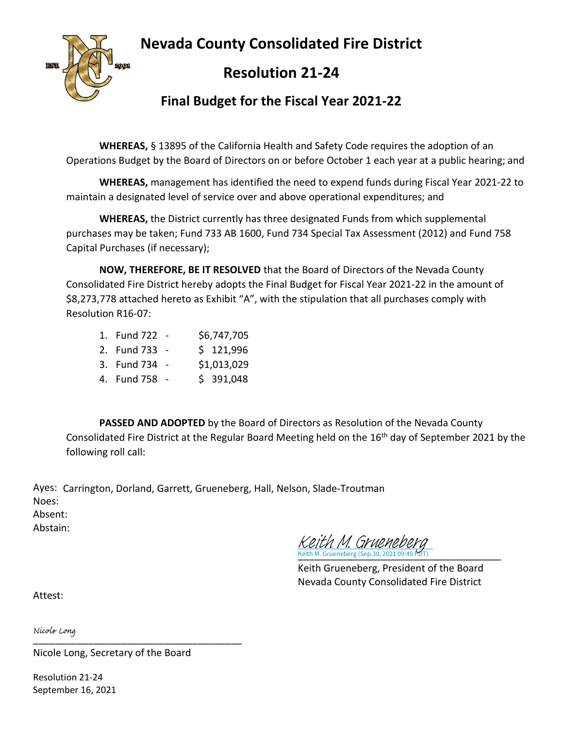## **Nevada County Consolidated Fire District**



## **Resolution 21-24**

### **Final Budget for the Fiscal Year 2021-22**

**WHEREAS,** § 13895 of the California Health and Safety Code requires the adoption of an Operations Budget by the Board of Directors on or before October 1 each year at a public hearing; and

**WHEREAS,** management has identified the need to expend funds during Fiscal Year 2021-22 to maintain a designated level of service over and above operational expenditures; and

**WHEREAS,** the District currently has three designated Funds from which supplemental purchases may be taken; Fund 733 AB 1600, Fund 734 Special Tax Assessment (2012) and Fund 758 Capital Purchases (if necessary);

**NOW, THEREFORE, BE IT RESOLVED** that the Board of Directors of the Nevada County Consolidated Fire District hereby adopts the Final Budget for Fiscal Year 2021-22 in the amount of \$8,273,778 attached hereto as Exhibit "A", with the stipulation that all purchases comply with Resolution R16-07:

| 1. Fund 722   | \$6,747,705 |
|---------------|-------------|
| 2. Fund 733 - | \$121,996   |
| 3. Fund 734 - | \$1,013,029 |
| 4. Fund 758 - | \$391,048   |

**PASSED AND ADOPTED** by the Board of Directors as Resolution of the Nevada County Consolidated Fire District at the Regular Board Meeting held on the 16<sup>th</sup> day of September 2021 by the following roll call:

Ayes: Carrington, Dorland, Garrett, Grueneberg, Hall, Nelson, Slade-Troutman Noes: Absent: Abstain:

Keith M. Grueneberg (Sep 30, 2021 09:49 PDT) Keith M. Grueneberg (Sep 30, 2021 09:49 PDT) [Keith M. Grueneberg](https://na1.documents.adobe.com/verifier?tx=CBJCHBCAABAAdie5u_lYIjSIt0jgrbgD8naD17xcYXsa)

Keith Grueneberg, President of the Board Nevada County Consolidated Fire District

Attest:

[\\_\\_\\_\\_\\_\\_\\_\\_\\_\\_\\_\\_\\_\\_\\_\\_\\_\\_\\_\\_\\_\\_\\_\\_\\_\\_\\_\\_\\_\\_\\_\\_\\_\\_\\_\\_\\_\\_](https://na1.documents.adobe.com/verifier?tx=CBJCHBCAABAAdie5u_lYIjSIt0jgrbgD8naD17xcYXsa)

Nicole Long, Secretary of the Board

Resolution 21-24 September 16, 2021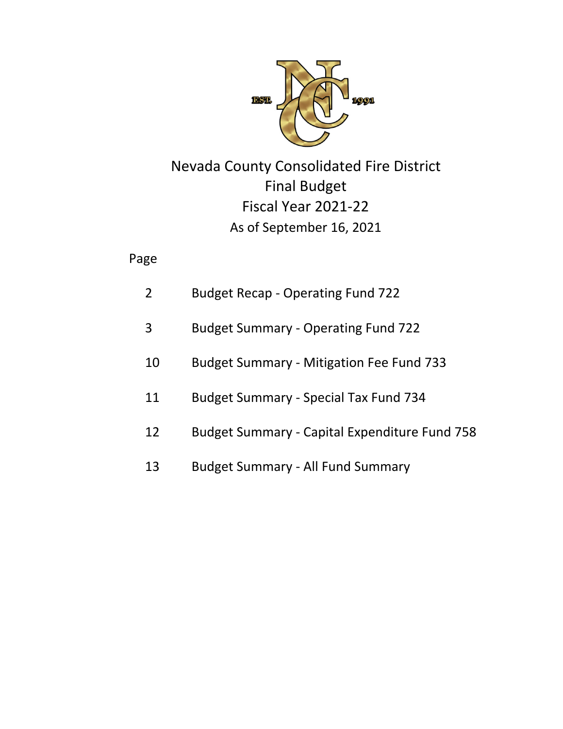

# Final Budget Fiscal Year 2021‐22 Nevada County Consolidated Fire District As of September 16, 2021

## Page

| 2  | <b>Budget Recap - Operating Fund 722</b>             |
|----|------------------------------------------------------|
| 3  | <b>Budget Summary - Operating Fund 722</b>           |
| 10 | <b>Budget Summary - Mitigation Fee Fund 733</b>      |
| 11 | <b>Budget Summary - Special Tax Fund 734</b>         |
| 12 | <b>Budget Summary - Capital Expenditure Fund 758</b> |
| 13 | <b>Budget Summary - All Fund Summary</b>             |
|    |                                                      |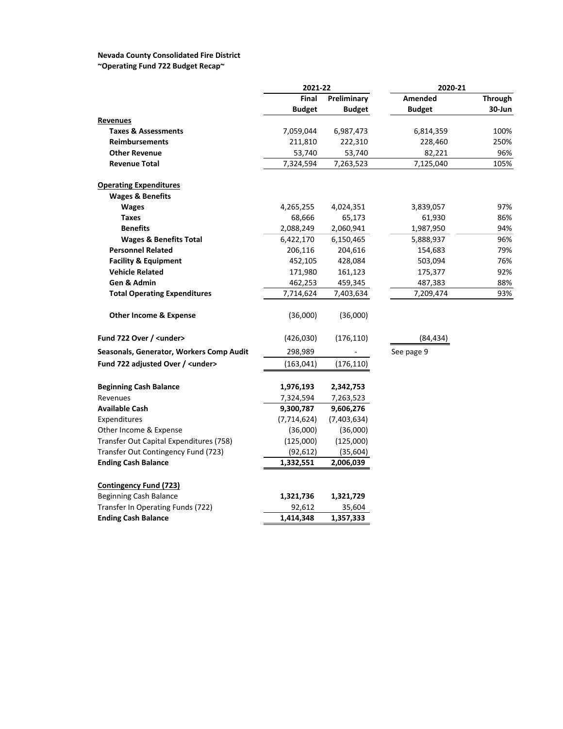## **Nevada County Consolidated Fire District**

**~Operating Fund 722 Budget Recap~**

|                                          | 2021-22       |               | 2020-21       |         |  |
|------------------------------------------|---------------|---------------|---------------|---------|--|
|                                          | Final         | Preliminary   | Amended       | Through |  |
|                                          | <b>Budget</b> | <b>Budget</b> | <b>Budget</b> | 30-Jun  |  |
| Revenues                                 |               |               |               |         |  |
| <b>Taxes &amp; Assessments</b>           | 7,059,044     | 6,987,473     | 6,814,359     | 100%    |  |
| <b>Reimbursements</b>                    | 211,810       | 222,310       | 228,460       | 250%    |  |
| <b>Other Revenue</b>                     | 53,740        | 53,740        | 82,221        | 96%     |  |
| <b>Revenue Total</b>                     | 7,324,594     | 7,263,523     | 7,125,040     | 105%    |  |
| <b>Operating Expenditures</b>            |               |               |               |         |  |
| <b>Wages &amp; Benefits</b>              |               |               |               |         |  |
| <b>Wages</b>                             | 4,265,255     | 4,024,351     | 3,839,057     | 97%     |  |
| <b>Taxes</b>                             | 68,666        | 65,173        | 61,930        | 86%     |  |
| <b>Benefits</b>                          | 2,088,249     | 2,060,941     | 1,987,950     | 94%     |  |
| <b>Wages &amp; Benefits Total</b>        | 6,422,170     | 6,150,465     | 5,888,937     | 96%     |  |
| <b>Personnel Related</b>                 | 206,116       | 204,616       | 154,683       | 79%     |  |
| <b>Facility &amp; Equipment</b>          | 452,105       | 428,084       | 503,094       | 76%     |  |
| <b>Vehicle Related</b>                   | 171,980       | 161,123       | 175,377       | 92%     |  |
| Gen & Admin                              | 462,253       | 459,345       | 487,383       | 88%     |  |
| <b>Total Operating Expenditures</b>      | 7,714,624     | 7,403,634     | 7,209,474     | 93%     |  |
| <b>Other Income &amp; Expense</b>        | (36,000)      | (36,000)      |               |         |  |
| Fund 722 Over / <under></under>          | (426, 030)    | (176, 110)    | (84, 434)     |         |  |
| Seasonals, Generator, Workers Comp Audit | 298,989       |               | See page 9    |         |  |
| Fund 722 adjusted Over / <under></under> | (163, 041)    | (176, 110)    |               |         |  |
| <b>Beginning Cash Balance</b>            | 1,976,193     | 2,342,753     |               |         |  |
| Revenues                                 | 7,324,594     | 7,263,523     |               |         |  |
| <b>Available Cash</b>                    | 9,300,787     | 9,606,276     |               |         |  |
| Expenditures                             | (7, 714, 624) | (7,403,634)   |               |         |  |
| Other Income & Expense                   | (36,000)      | (36,000)      |               |         |  |
| Transfer Out Capital Expenditures (758)  | (125,000)     | (125,000)     |               |         |  |
| Transfer Out Contingency Fund (723)      | (92, 612)     | (35, 604)     |               |         |  |
| <b>Ending Cash Balance</b>               | 1,332,551     | 2,006,039     |               |         |  |
| <b>Contingency Fund (723)</b>            |               |               |               |         |  |
| Beginning Cash Balance                   | 1,321,736     | 1,321,729     |               |         |  |
| Transfer In Operating Funds (722)        | 92,612        | 35,604        |               |         |  |
| <b>Ending Cash Balance</b>               | 1,414,348     | 1,357,333     |               |         |  |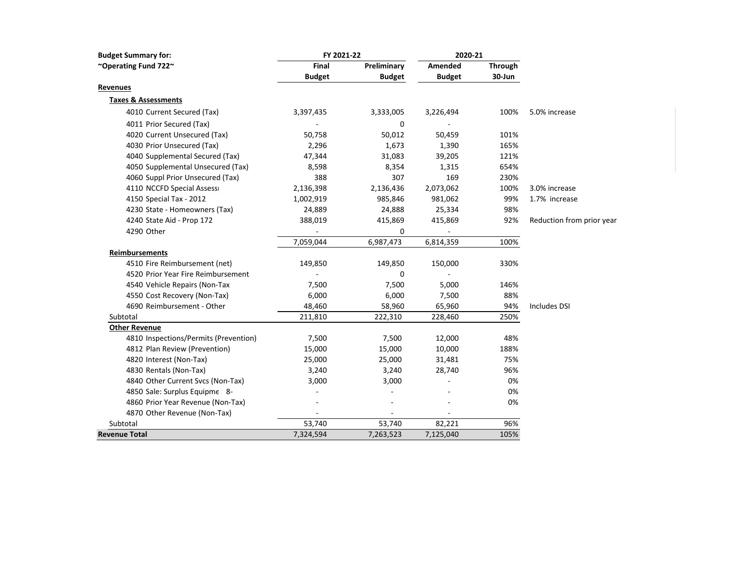| <b>Budget Summary for:</b>            | FY 2021-22    |               | 2020-21       |         |                           |
|---------------------------------------|---------------|---------------|---------------|---------|---------------------------|
| ~Operating Fund 722~                  | Final         | Preliminary   | Amended       | Through |                           |
|                                       | <b>Budget</b> | <b>Budget</b> | <b>Budget</b> | 30-Jun  |                           |
| <b>Revenues</b>                       |               |               |               |         |                           |
| <b>Taxes &amp; Assessments</b>        |               |               |               |         |                           |
| 4010 Current Secured (Tax)            | 3,397,435     | 3,333,005     | 3,226,494     | 100%    | 5.0% increase             |
| 4011 Prior Secured (Tax)              |               | 0             |               |         |                           |
| 4020 Current Unsecured (Tax)          | 50,758        | 50,012        | 50,459        | 101%    |                           |
| 4030 Prior Unsecured (Tax)            | 2,296         | 1,673         | 1,390         | 165%    |                           |
| 4040 Supplemental Secured (Tax)       | 47,344        | 31,083        | 39,205        | 121%    |                           |
| 4050 Supplemental Unsecured (Tax)     | 8,598         | 8,354         | 1,315         | 654%    |                           |
| 4060 Suppl Prior Unsecured (Tax)      | 388           | 307           | 169           | 230%    |                           |
| 4110 NCCFD Special Assess             | 2,136,398     | 2,136,436     | 2,073,062     | 100%    | 3.0% increase             |
| 4150 Special Tax - 2012               | 1,002,919     | 985,846       | 981,062       | 99%     | 1.7% increase             |
| 4230 State - Homeowners (Tax)         | 24,889        | 24,888        | 25,334        | 98%     |                           |
| 4240 State Aid - Prop 172             | 388,019       | 415,869       | 415,869       | 92%     | Reduction from prior year |
| 4290 Other                            |               | 0             |               |         |                           |
|                                       | 7,059,044     | 6,987,473     | 6,814,359     | 100%    |                           |
| Reimbursements                        |               |               |               |         |                           |
| 4510 Fire Reimbursement (net)         | 149,850       | 149,850       | 150,000       | 330%    |                           |
| 4520 Prior Year Fire Reimbursement    |               | 0             |               |         |                           |
| 4540 Vehicle Repairs (Non-Tax         | 7,500         | 7,500         | 5,000         | 146%    |                           |
| 4550 Cost Recovery (Non-Tax)          | 6,000         | 6,000         | 7,500         | 88%     |                           |
| 4690 Reimbursement - Other            | 48,460        | 58,960        | 65,960        | 94%     | <b>Includes DSI</b>       |
| Subtotal                              | 211,810       | 222,310       | 228,460       | 250%    |                           |
| <b>Other Revenue</b>                  |               |               |               |         |                           |
| 4810 Inspections/Permits (Prevention) | 7,500         | 7,500         | 12,000        | 48%     |                           |
| 4812 Plan Review (Prevention)         | 15,000        | 15,000        | 10,000        | 188%    |                           |
| 4820 Interest (Non-Tax)               | 25,000        | 25,000        | 31,481        | 75%     |                           |
| 4830 Rentals (Non-Tax)                | 3,240         | 3,240         | 28,740        | 96%     |                           |
| 4840 Other Current Svcs (Non-Tax)     | 3,000         | 3,000         |               | 0%      |                           |
| 4850 Sale: Surplus Equipme 8-         |               |               |               | 0%      |                           |
| 4860 Prior Year Revenue (Non-Tax)     |               |               |               | 0%      |                           |
| 4870 Other Revenue (Non-Tax)          |               |               |               |         |                           |
| Subtotal                              | 53,740        | 53,740        | 82,221        | 96%     |                           |
| <b>Revenue Total</b>                  | 7,324,594     | 7,263,523     | 7,125,040     | 105%    |                           |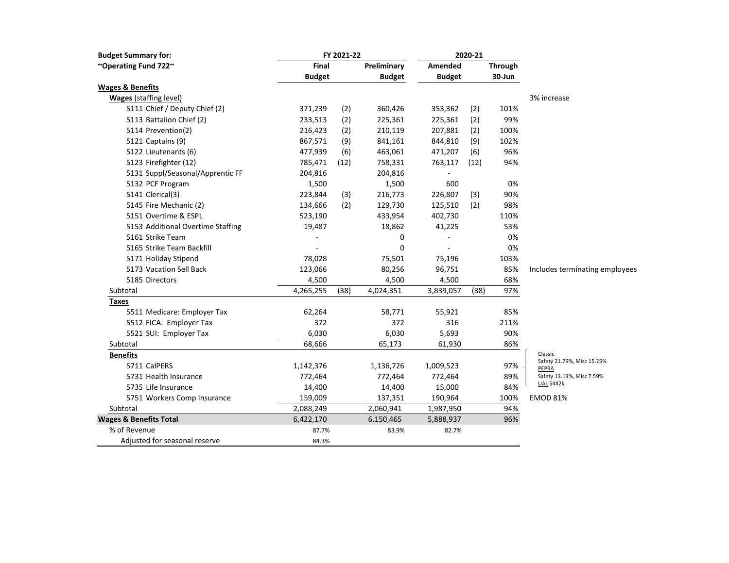| <b>Budget Summary for:</b>        |               | FY 2021-22 |               |               | 2020-21 |                |                                     |
|-----------------------------------|---------------|------------|---------------|---------------|---------|----------------|-------------------------------------|
| ~Operating Fund 722~              | Final         |            | Preliminary   | Amended       |         | <b>Through</b> |                                     |
|                                   | <b>Budget</b> |            | <b>Budget</b> | <b>Budget</b> |         | 30-Jun         |                                     |
| <b>Wages &amp; Benefits</b>       |               |            |               |               |         |                |                                     |
| <b>Wages (staffing level)</b>     |               |            |               |               |         |                | 3% increase                         |
| 5111 Chief / Deputy Chief (2)     | 371,239       | (2)        | 360,426       | 353,362       | (2)     | 101%           |                                     |
| 5113 Battalion Chief (2)          | 233,513       | (2)        | 225,361       | 225,361       | (2)     | 99%            |                                     |
| 5114 Prevention(2)                | 216,423       | (2)        | 210,119       | 207,881       | (2)     | 100%           |                                     |
| 5121 Captains (9)                 | 867,571       | (9)        | 841,161       | 844,810       | (9)     | 102%           |                                     |
| 5122 Lieutenants (6)              | 477,939       | (6)        | 463,061       | 471,207       | (6)     | 96%            |                                     |
| 5123 Firefighter (12)             | 785,471       | (12)       | 758,331       | 763,117       | (12)    | 94%            |                                     |
| 5131 Suppl/Seasonal/Apprentic FF  | 204,816       |            | 204,816       |               |         |                |                                     |
| 5132 PCF Program                  | 1,500         |            | 1,500         | 600           |         | 0%             |                                     |
| 5141 Clerical(3)                  | 223,844       | (3)        | 216,773       | 226,807       | (3)     | 90%            |                                     |
| 5145 Fire Mechanic (2)            | 134,666       | (2)        | 129,730       | 125,510       | (2)     | 98%            |                                     |
| 5151 Overtime & ESPL              | 523,190       |            | 433,954       | 402,730       |         | 110%           |                                     |
| 5153 Additional Overtime Staffing | 19,487        |            | 18,862        | 41,225        |         | 53%            |                                     |
| 5161 Strike Team                  |               |            | 0             |               |         | 0%             |                                     |
| 5165 Strike Team Backfill         |               |            | $\mathbf 0$   |               |         | 0%             |                                     |
| 5171 Holiday Stipend              | 78,028        |            | 75,501        | 75,196        |         | 103%           |                                     |
| 5173 Vacation Sell Back           | 123,066       |            | 80,256        | 96,751        |         | 85%            | Includes terminating employees      |
| 5185 Directors                    | 4,500         |            | 4,500         | 4,500         |         | 68%            |                                     |
| Subtotal                          | 4,265,255     | (38)       | 4,024,351     | 3,839,057     | (38)    | 97%            |                                     |
| Taxes                             |               |            |               |               |         |                |                                     |
| 5511 Medicare: Employer Tax       | 62,264        |            | 58,771        | 55,921        |         | 85%            |                                     |
| 5512 FICA: Employer Tax           | 372           |            | 372           | 316           |         | 211%           |                                     |
| 5521 SUI: Employer Tax            | 6,030         |            | 6,030         | 5,693         |         | 90%            |                                     |
| Subtotal                          | 68,666        |            | 65,173        | 61,930        |         | 86%            |                                     |
| <b>Benefits</b>                   |               |            |               |               |         |                | Classic                             |
| 5711 CalPERS                      | 1,142,376     |            | 1,136,726     | 1,009,523     |         | 97%            | Safety 21.79%, Misc 15.25%<br>PEPRA |
| 5731 Health Insurance             | 772,464       |            | 772,464       | 772,464       |         | 89%            | Safety 13.13%, Misc 7.59%           |
| 5735 Life Insurance               | 14,400        |            | 14,400        | 15,000        |         | 84%            | <b>UAL \$442k</b>                   |
| 5751 Workers Comp Insurance       | 159,009       |            | 137,351       | 190,964       |         | 100%           | <b>EMOD 81%</b>                     |
| Subtotal                          | 2,088,249     |            | 2,060,941     | 1,987,950     |         | 94%            |                                     |
| <b>Wages &amp; Benefits Total</b> | 6,422,170     |            | 6,150,465     | 5,888,937     |         | 96%            |                                     |
| % of Revenue                      | 87.7%         |            | 83.9%         | 82.7%         |         |                |                                     |
| Adjusted for seasonal reserve     | 84.3%         |            |               |               |         |                |                                     |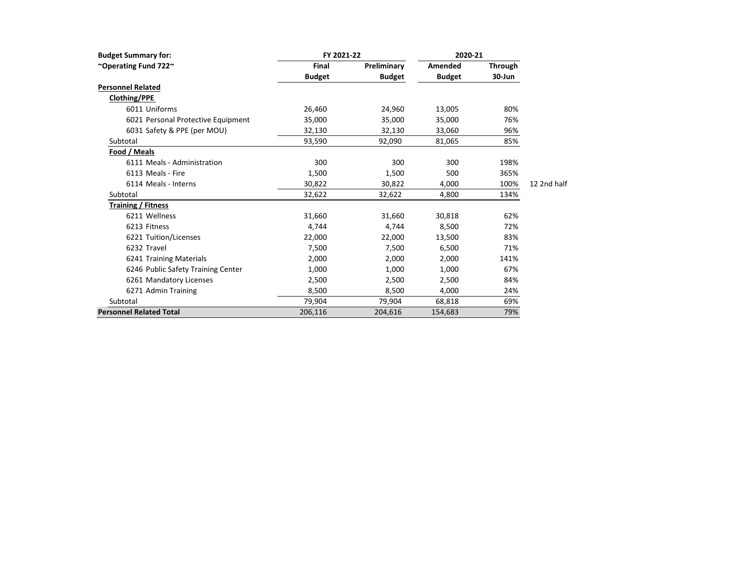| <b>Budget Summary for:</b>         | FY 2021-22    |               | 2020-21       |                |             |
|------------------------------------|---------------|---------------|---------------|----------------|-------------|
| ~Operating Fund 722~               | <b>Final</b>  | Preliminary   | Amended       | <b>Through</b> |             |
|                                    | <b>Budget</b> | <b>Budget</b> | <b>Budget</b> | 30-Jun         |             |
| <b>Personnel Related</b>           |               |               |               |                |             |
| Clothing/PPE                       |               |               |               |                |             |
| 6011 Uniforms                      | 26,460        | 24,960        | 13,005        | 80%            |             |
| 6021 Personal Protective Equipment | 35,000        | 35,000        | 35,000        | 76%            |             |
| 6031 Safety & PPE (per MOU)        | 32,130        | 32,130        | 33,060        | 96%            |             |
| Subtotal                           | 93,590        | 92,090        | 81,065        | 85%            |             |
| Food / Meals                       |               |               |               |                |             |
| 6111 Meals - Administration        | 300           | 300           | 300           | 198%           |             |
| 6113 Meals - Fire                  | 1,500         | 1,500         | 500           | 365%           |             |
| 6114 Meals - Interns               | 30,822        | 30,822        | 4,000         | 100%           | 12 2nd half |
| Subtotal                           | 32,622        | 32,622        | 4,800         | 134%           |             |
| <b>Training / Fitness</b>          |               |               |               |                |             |
| 6211 Wellness                      | 31,660        | 31,660        | 30,818        | 62%            |             |
| 6213 Fitness                       | 4,744         | 4,744         | 8,500         | 72%            |             |
| 6221 Tuition/Licenses              | 22,000        | 22,000        | 13,500        | 83%            |             |
| 6232 Travel                        | 7,500         | 7,500         | 6,500         | 71%            |             |
| 6241 Training Materials            | 2,000         | 2,000         | 2,000         | 141%           |             |
| 6246 Public Safety Training Center | 1,000         | 1,000         | 1,000         | 67%            |             |
| 6261 Mandatory Licenses            | 2,500         | 2,500         | 2,500         | 84%            |             |
| 6271 Admin Training                | 8,500         | 8,500         | 4,000         | 24%            |             |
| Subtotal                           | 79,904        | 79,904        | 68,818        | 69%            |             |
| <b>Personnel Related Total</b>     | 206,116       | 204,616       | 154,683       | 79%            |             |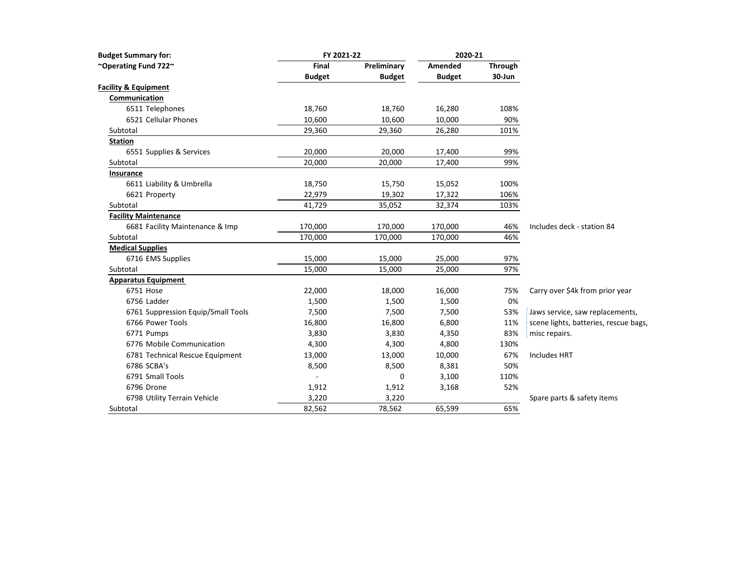| <b>Budget Summary for:</b>         | FY 2021-22    |               | 2020-21       |                |                                       |
|------------------------------------|---------------|---------------|---------------|----------------|---------------------------------------|
| ~Operating Fund 722~               | Final         | Preliminary   | Amended       | <b>Through</b> |                                       |
|                                    | <b>Budget</b> | <b>Budget</b> | <b>Budget</b> | 30-Jun         |                                       |
| <b>Facility &amp; Equipment</b>    |               |               |               |                |                                       |
| Communication                      |               |               |               |                |                                       |
| 6511 Telephones                    | 18,760        | 18,760        | 16,280        | 108%           |                                       |
| 6521 Cellular Phones               | 10,600        | 10,600        | 10,000        | 90%            |                                       |
| Subtotal                           | 29,360        | 29,360        | 26,280        | 101%           |                                       |
| <b>Station</b>                     |               |               |               |                |                                       |
| 6551 Supplies & Services           | 20,000        | 20,000        | 17,400        | 99%            |                                       |
| Subtotal                           | 20,000        | 20,000        | 17,400        | 99%            |                                       |
| Insurance                          |               |               |               |                |                                       |
| 6611 Liability & Umbrella          | 18,750        | 15,750        | 15,052        | 100%           |                                       |
| 6621 Property                      | 22,979        | 19,302        | 17,322        | 106%           |                                       |
| Subtotal                           | 41,729        | 35,052        | 32,374        | 103%           |                                       |
| <b>Facility Maintenance</b>        |               |               |               |                |                                       |
| 6681 Facility Maintenance & Imp    | 170,000       | 170,000       | 170,000       | 46%            | Includes deck - station 84            |
| Subtotal                           | 170,000       | 170,000       | 170,000       | 46%            |                                       |
| <b>Medical Supplies</b>            |               |               |               |                |                                       |
| 6716 EMS Supplies                  | 15,000        | 15,000        | 25,000        | 97%            |                                       |
| Subtotal                           | 15,000        | 15,000        | 25,000        | 97%            |                                       |
| <b>Apparatus Equipment</b>         |               |               |               |                |                                       |
| 6751 Hose                          | 22,000        | 18,000        | 16,000        | 75%            | Carry over \$4k from prior year       |
| 6756 Ladder                        | 1,500         | 1,500         | 1,500         | 0%             |                                       |
| 6761 Suppression Equip/Small Tools | 7,500         | 7,500         | 7,500         | 53%            | Jaws service, saw replacements,       |
| 6766 Power Tools                   | 16,800        | 16,800        | 6,800         | 11%            | scene lights, batteries, rescue bags, |
| 6771 Pumps                         | 3,830         | 3,830         | 4,350         | 83%            | misc repairs.                         |
| 6776 Mobile Communication          | 4,300         | 4,300         | 4,800         | 130%           |                                       |
| 6781 Technical Rescue Equipment    | 13,000        | 13,000        | 10,000        | 67%            | <b>Includes HRT</b>                   |
| 6786 SCBA's                        | 8,500         | 8,500         | 8,381         | 50%            |                                       |
| 6791 Small Tools                   |               | 0             | 3,100         | 110%           |                                       |
| 6796 Drone                         | 1,912         | 1,912         | 3,168         | 52%            |                                       |
| 6798 Utility Terrain Vehicle       | 3,220         | 3,220         |               |                | Spare parts & safety items            |
| Subtotal                           | 82,562        | 78,562        | 65,599        | 65%            |                                       |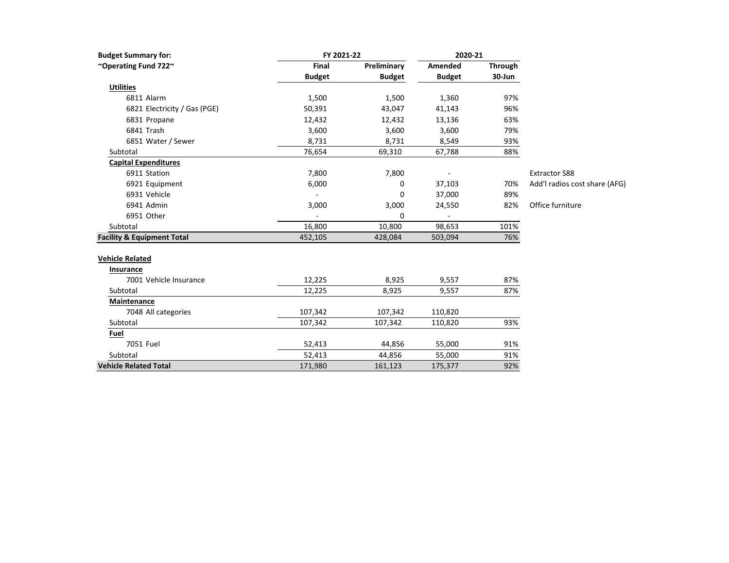| <b>Budget Summary for:</b>            | FY 2021-22    |               | 2020-21       |         |                               |
|---------------------------------------|---------------|---------------|---------------|---------|-------------------------------|
| ~Operating Fund 722~                  | Final         | Preliminary   | Amended       | Through |                               |
|                                       | <b>Budget</b> | <b>Budget</b> | <b>Budget</b> | 30-Jun  |                               |
| <b>Utilities</b>                      |               |               |               |         |                               |
| 6811 Alarm                            | 1,500         | 1,500         | 1,360         | 97%     |                               |
| 6821 Electricity / Gas (PGE)          | 50,391        | 43,047        | 41,143        | 96%     |                               |
| 6831 Propane                          | 12,432        | 12,432        | 13,136        | 63%     |                               |
| 6841 Trash                            | 3,600         | 3,600         | 3,600         | 79%     |                               |
| 6851 Water / Sewer                    | 8,731         | 8,731         | 8,549         | 93%     |                               |
| Subtotal                              | 76,654        | 69,310        | 67,788        | 88%     |                               |
| <b>Capital Expenditures</b>           |               |               |               |         |                               |
| 6911 Station                          | 7,800         | 7,800         |               |         | <b>Extractor S88</b>          |
| 6921 Equipment                        | 6,000         | 0             | 37,103        | 70%     | Add'l radios cost share (AFG) |
| 6931 Vehicle                          |               | 0             | 37,000        | 89%     |                               |
| 6941 Admin                            | 3,000         | 3,000         | 24,550        | 82%     | Office furniture              |
| 6951 Other                            |               | 0             |               |         |                               |
| Subtotal                              | 16,800        | 10,800        | 98,653        | 101%    |                               |
| <b>Facility &amp; Equipment Total</b> | 452,105       | 428,084       | 503,094       | 76%     |                               |
| <b>Vehicle Related</b>                |               |               |               |         |                               |
| Insurance                             |               |               |               |         |                               |
| 7001 Vehicle Insurance                | 12,225        | 8,925         | 9,557         | 87%     |                               |
| Subtotal                              | 12,225        | 8,925         | 9,557         | 87%     |                               |
| Maintenance                           |               |               |               |         |                               |
| 7048 All categories                   | 107,342       | 107,342       | 110,820       |         |                               |
| Subtotal                              | 107,342       | 107,342       | 110,820       | 93%     |                               |
| Fuel                                  |               |               |               |         |                               |
| 7051 Fuel                             | 52,413        | 44,856        | 55,000        | 91%     |                               |
| Subtotal                              | 52,413        | 44,856        | 55,000        | 91%     |                               |
| <b>Vehicle Related Total</b>          | 171,980       | 161,123       | 175,377       | 92%     |                               |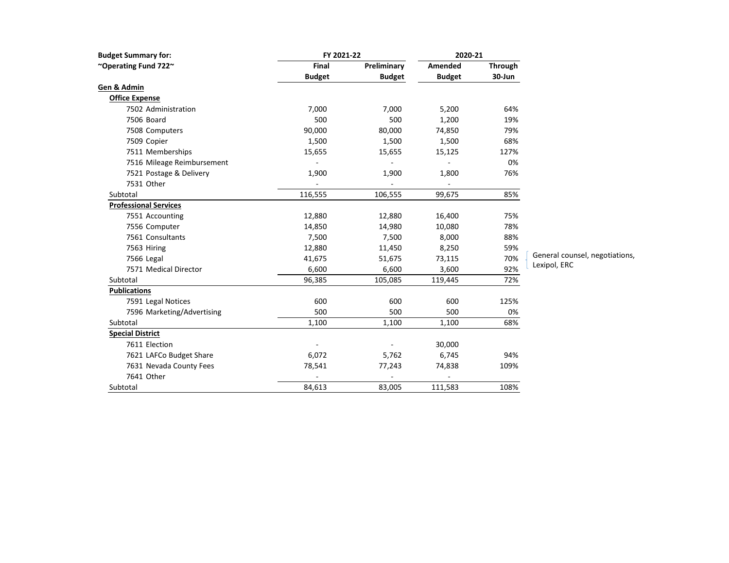| <b>Budget Summary for:</b>   | FY 2021-22    |               | 2020-21       |                |        |
|------------------------------|---------------|---------------|---------------|----------------|--------|
| "Operating Fund 722"         | <b>Final</b>  | Preliminary   | Amended       | <b>Through</b> |        |
|                              | <b>Budget</b> | <b>Budget</b> | <b>Budget</b> | 30-Jun         |        |
| Gen & Admin                  |               |               |               |                |        |
| <b>Office Expense</b>        |               |               |               |                |        |
| 7502 Administration          | 7,000         | 7,000         | 5,200         | 64%            |        |
| 7506 Board                   | 500           | 500           | 1,200         | 19%            |        |
| 7508 Computers               | 90,000        | 80,000        | 74,850        | 79%            |        |
| 7509 Copier                  | 1,500         | 1,500         | 1,500         | 68%            |        |
| 7511 Memberships             | 15,655        | 15,655        | 15,125        | 127%           |        |
| 7516 Mileage Reimbursement   |               |               |               | 0%             |        |
| 7521 Postage & Delivery      | 1,900         | 1,900         | 1,800         | 76%            |        |
| 7531 Other                   |               |               |               |                |        |
| Subtotal                     | 116,555       | 106,555       | 99,675        | 85%            |        |
| <b>Professional Services</b> |               |               |               |                |        |
| 7551 Accounting              | 12,880        | 12,880        | 16,400        | 75%            |        |
| 7556 Computer                | 14,850        | 14,980        | 10,080        | 78%            |        |
| 7561 Consultants             | 7,500         | 7,500         | 8,000         | 88%            |        |
| 7563 Hiring                  | 12,880        | 11,450        | 8,250         | 59%            |        |
| 7566 Legal                   | 41,675        | 51,675        | 73,115        | 70%            | Gener  |
| 7571 Medical Director        | 6,600         | 6,600         | 3,600         | 92%            | Lexipo |
| Subtotal                     | 96,385        | 105,085       | 119,445       | 72%            |        |
| <b>Publications</b>          |               |               |               |                |        |
| 7591 Legal Notices           | 600           | 600           | 600           | 125%           |        |
| 7596 Marketing/Advertising   | 500           | 500           | 500           | 0%             |        |
| Subtotal                     | 1,100         | 1,100         | 1,100         | 68%            |        |
| <b>Special District</b>      |               |               |               |                |        |
| 7611 Election                |               |               | 30,000        |                |        |
| 7621 LAFCo Budget Share      | 6,072         | 5,762         | 6,745         | 94%            |        |
| 7631 Nevada County Fees      | 78,541        | 77,243        | 74,838        | 109%           |        |
| 7641 Other                   |               |               |               |                |        |
| Subtotal                     | 84,613        | 83,005        | 111,583       | 108%           |        |

General counsel, negotiations, ol, ERC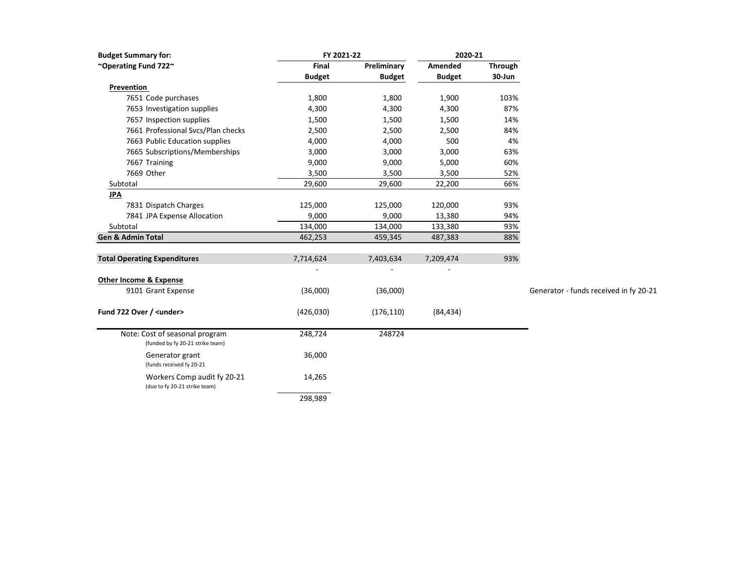| <b>Budget Summary for:</b>                                   | FY 2021-22    |               | 2020-21       |                |                                        |
|--------------------------------------------------------------|---------------|---------------|---------------|----------------|----------------------------------------|
| ~Operating Fund 722~                                         | Final         | Preliminary   | Amended       | <b>Through</b> |                                        |
|                                                              | <b>Budget</b> | <b>Budget</b> | <b>Budget</b> | 30-Jun         |                                        |
| Prevention                                                   |               |               |               |                |                                        |
| 7651 Code purchases                                          | 1,800         | 1,800         | 1,900         | 103%           |                                        |
| 7653 Investigation supplies                                  | 4,300         | 4,300         | 4,300         | 87%            |                                        |
| 7657 Inspection supplies                                     | 1,500         | 1,500         | 1,500         | 14%            |                                        |
| 7661 Professional Svcs/Plan checks                           | 2,500         | 2,500         | 2,500         | 84%            |                                        |
| 7663 Public Education supplies                               | 4,000         | 4,000         | 500           | 4%             |                                        |
| 7665 Subscriptions/Memberships                               | 3,000         | 3,000         | 3,000         | 63%            |                                        |
| 7667 Training                                                | 9,000         | 9,000         | 5,000         | 60%            |                                        |
| 7669 Other                                                   | 3,500         | 3,500         | 3,500         | 52%            |                                        |
| Subtotal                                                     | 29,600        | 29,600        | 22,200        | 66%            |                                        |
| <b>JPA</b>                                                   |               |               |               |                |                                        |
| 7831 Dispatch Charges                                        | 125,000       | 125,000       | 120,000       | 93%            |                                        |
| 7841 JPA Expense Allocation                                  | 9,000         | 9,000         | 13,380        | 94%            |                                        |
| Subtotal                                                     | 134,000       | 134,000       | 133,380       | 93%            |                                        |
| <b>Gen &amp; Admin Total</b>                                 | 462,253       | 459,345       | 487,383       | 88%            |                                        |
|                                                              |               |               |               |                |                                        |
| <b>Total Operating Expenditures</b>                          | 7,714,624     | 7,403,634     | 7,209,474     | 93%            |                                        |
|                                                              |               |               |               |                |                                        |
| <b>Other Income &amp; Expense</b>                            |               |               |               |                |                                        |
| 9101 Grant Expense                                           | (36,000)      | (36,000)      |               |                | Generator - funds received in fy 20-21 |
|                                                              |               |               |               |                |                                        |
| Fund 722 Over / <under></under>                              | (426, 030)    | (176, 110)    | (84, 434)     |                |                                        |
| Note: Cost of seasonal program                               | 248,724       | 248724        |               |                |                                        |
| (funded by fy 20-21 strike team)                             |               |               |               |                |                                        |
| Generator grant<br>(funds received fy 20-21                  | 36,000        |               |               |                |                                        |
| Workers Comp audit fy 20-21<br>(due to fy 20-21 strike team) | 14,265        |               |               |                |                                        |
|                                                              | 298,989       |               |               |                |                                        |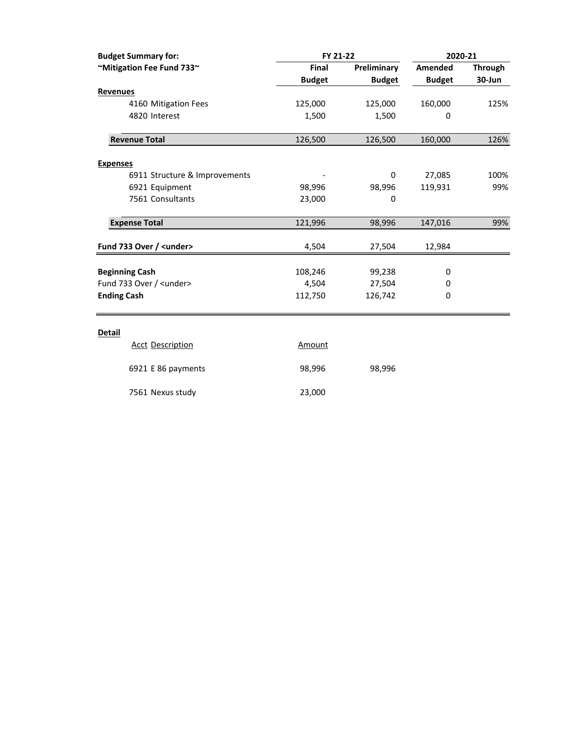| <b>Budget Summary for:</b>               | FY 21-22      |               | 2020-21       |                |  |
|------------------------------------------|---------------|---------------|---------------|----------------|--|
| ~Mitigation Fee Fund 733~                | <b>Final</b>  | Preliminary   | Amended       | <b>Through</b> |  |
|                                          | <b>Budget</b> | <b>Budget</b> | <b>Budget</b> | 30-Jun         |  |
| <b>Revenues</b>                          |               |               |               |                |  |
| 4160 Mitigation Fees                     | 125,000       | 125,000       | 160,000       | 125%           |  |
| 4820 Interest                            | 1,500         | 1,500         | 0             |                |  |
| <b>Revenue Total</b>                     | 126,500       | 126,500       | 160,000       | 126%           |  |
| <b>Expenses</b>                          |               |               |               |                |  |
| 6911 Structure & Improvements            |               | $\Omega$      | 27,085        | 100%           |  |
| 6921 Equipment                           | 98,996        | 98,996        | 119,931       | 99%            |  |
| 7561 Consultants                         | 23,000        | 0             |               |                |  |
| <b>Expense Total</b>                     | 121,996       | 98,996        | 147,016       | 99%            |  |
| Fund 733 Over / <under></under>          | 4,504         | 27,504        | 12,984        |                |  |
| <b>Beginning Cash</b>                    | 108,246       | 99,238        | 0             |                |  |
| Fund 733 Over / <under></under>          | 4,504         | 27,504        | 0             |                |  |
| <b>Ending Cash</b>                       | 112,750       | 126,742       | $\mathbf 0$   |                |  |
| <b>Detail</b><br><b>Acct Description</b> | Amount        |               |               |                |  |

| ACCL DESCRIPTION   | Allivully |        |
|--------------------|-----------|--------|
| 6921 E 86 payments | 98.996    | 98,996 |
| 7561 Nexus study   | 23,000    |        |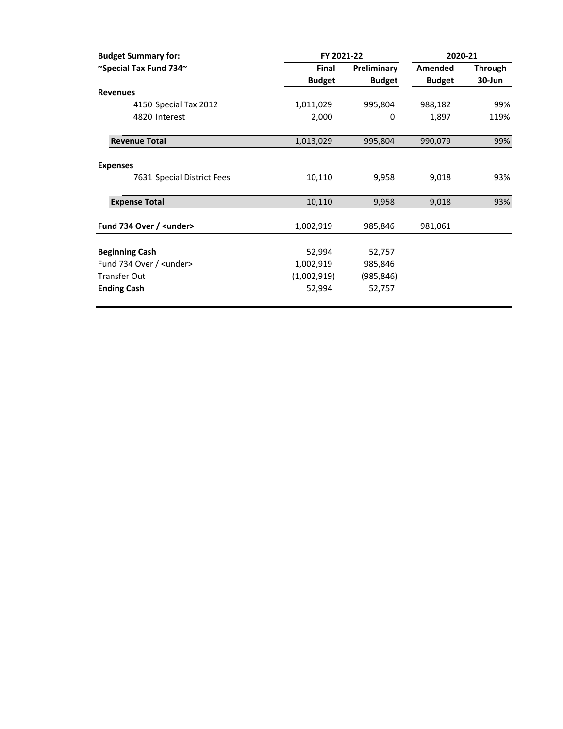| <b>Budget Summary for:</b>      | FY 2021-22    |               | 2020-21       |                |
|---------------------------------|---------------|---------------|---------------|----------------|
| ~Special Tax Fund 734~          | Final         | Preliminary   | Amended       | <b>Through</b> |
|                                 | <b>Budget</b> | <b>Budget</b> | <b>Budget</b> | 30-Jun         |
| <b>Revenues</b>                 |               |               |               |                |
| 4150 Special Tax 2012           | 1,011,029     | 995,804       | 988,182       | 99%            |
| 4820 Interest                   | 2,000         | 0             | 1,897         | 119%           |
| <b>Revenue Total</b>            | 1,013,029     | 995,804       | 990,079       | 99%            |
| <b>Expenses</b>                 |               |               |               |                |
| 7631 Special District Fees      | 10,110        | 9,958         | 9,018         | 93%            |
| <b>Expense Total</b>            | 10,110        | 9,958         | 9,018         | 93%            |
| Fund 734 Over / <under></under> | 1,002,919     | 985,846       | 981,061       |                |
| <b>Beginning Cash</b>           | 52,994        | 52,757        |               |                |
| Fund 734 Over / <under></under> | 1,002,919     | 985,846       |               |                |
| <b>Transfer Out</b>             | (1,002,919)   | (985, 846)    |               |                |
| <b>Ending Cash</b>              | 52,994        | 52,757        |               |                |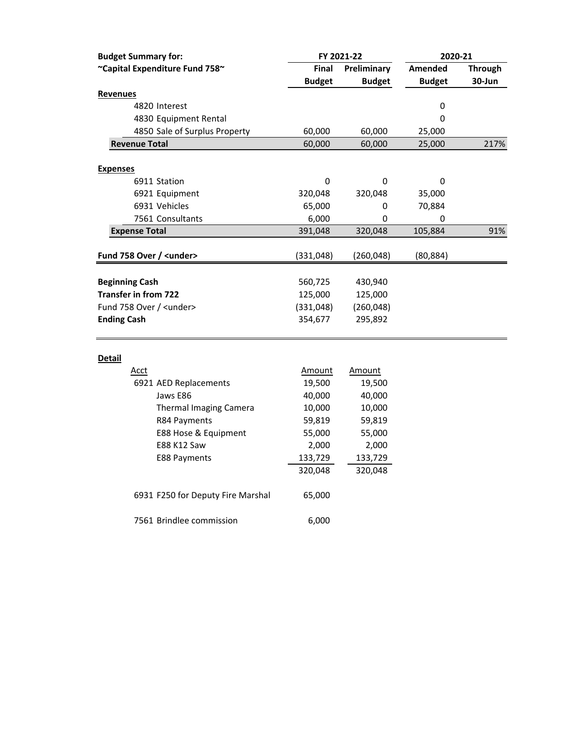| <b>Budget Summary for:</b>      |               | FY 2021-22    | 2020-21       |                |
|---------------------------------|---------------|---------------|---------------|----------------|
| ~Capital Expenditure Fund 758~  | Final         | Preliminary   | Amended       | <b>Through</b> |
|                                 | <b>Budget</b> | <b>Budget</b> | <b>Budget</b> | 30-Jun         |
| <b>Revenues</b>                 |               |               |               |                |
| 4820 Interest                   |               |               | 0             |                |
| 4830 Equipment Rental           |               |               | 0             |                |
| 4850 Sale of Surplus Property   | 60,000        | 60,000        | 25,000        |                |
| <b>Revenue Total</b>            | 60,000        | 60,000        | 25,000        | 217%           |
|                                 |               |               |               |                |
| <b>Expenses</b>                 |               |               |               |                |
| 6911 Station                    | 0             | 0             | 0             |                |
| 6921 Equipment                  | 320,048       | 320,048       | 35,000        |                |
| 6931 Vehicles                   | 65,000        | 0             | 70,884        |                |
| 7561 Consultants                | 6,000         | 0             | 0             |                |
| <b>Expense Total</b>            | 391,048       | 320,048       | 105,884       | 91%            |
|                                 |               |               |               |                |
| Fund 758 Over / <under></under> | (331, 048)    | (260, 048)    | (80, 884)     |                |
|                                 |               |               |               |                |
| <b>Beginning Cash</b>           | 560,725       | 430,940       |               |                |
| <b>Transfer in from 722</b>     | 125,000       | 125,000       |               |                |
| Fund 758 Over / <under></under> | (331,048)     | (260, 048)    |               |                |
| <b>Ending Cash</b>              | 354,677       | 295,892       |               |                |
|                                 |               |               |               |                |
| <b>Detail</b>                   |               |               |               |                |
| Acct                            | Amount        | Amount        |               |                |
| 6921 AED Replacements           | 19,500        | 19,500        |               |                |
| Jaws E86                        | 40,000        | 40,000        |               |                |
| <b>Thermal Imaging Camera</b>   | 10,000        | 10,000        |               |                |
| R84 Payments                    | 59,819        | 59,819        |               |                |

E88 Hose & Equipment 55,000 55,000 E88 K12 Saw 2,000 2,000 E88 Payments 133,729 133,729

6931 F250 for Deputy Fire Marshal 65,000

7561 Brindlee commission 6,000

320,048 320,048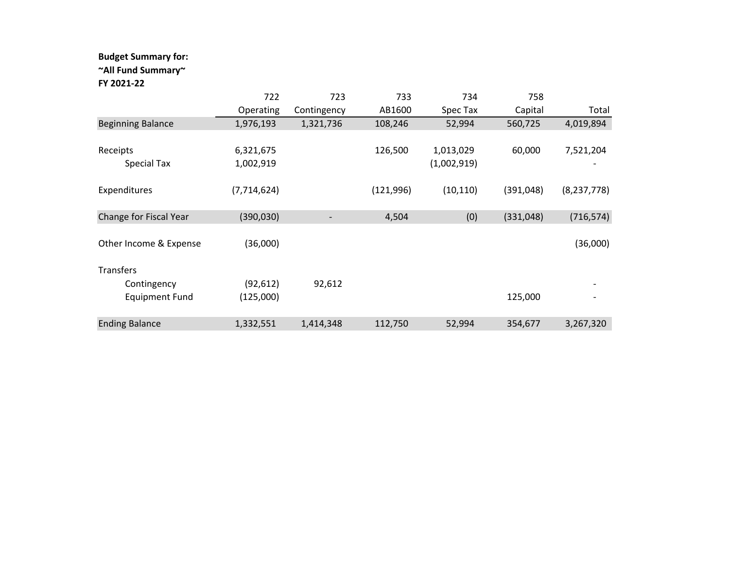### **Budget Summary for:**

### **~All Fund Summary~**

#### **FY 2021‐22**

|                          | 722           | 723         | 733        | 734         | 758        |               |
|--------------------------|---------------|-------------|------------|-------------|------------|---------------|
|                          | Operating     | Contingency | AB1600     | Spec Tax    | Capital    | Total         |
| <b>Beginning Balance</b> | 1,976,193     | 1,321,736   | 108,246    | 52,994      | 560,725    | 4,019,894     |
|                          |               |             |            |             |            |               |
| Receipts                 | 6,321,675     |             | 126,500    | 1,013,029   | 60,000     | 7,521,204     |
| Special Tax              | 1,002,919     |             |            | (1,002,919) |            |               |
|                          |               |             |            |             |            |               |
| Expenditures             | (7, 714, 624) |             | (121, 996) | (10, 110)   | (391, 048) | (8, 237, 778) |
|                          |               |             |            |             |            |               |
| Change for Fiscal Year   | (390, 030)    |             | 4,504      | (0)         | (331,048)  | (716, 574)    |
|                          |               |             |            |             |            |               |
| Other Income & Expense   | (36,000)      |             |            |             |            | (36,000)      |
|                          |               |             |            |             |            |               |
| Transfers                |               |             |            |             |            |               |
| Contingency              | (92, 612)     | 92,612      |            |             |            |               |
| <b>Equipment Fund</b>    | (125,000)     |             |            |             | 125,000    |               |
|                          |               |             |            |             |            |               |
| <b>Ending Balance</b>    | 1,332,551     | 1,414,348   | 112,750    | 52,994      | 354,677    | 3,267,320     |